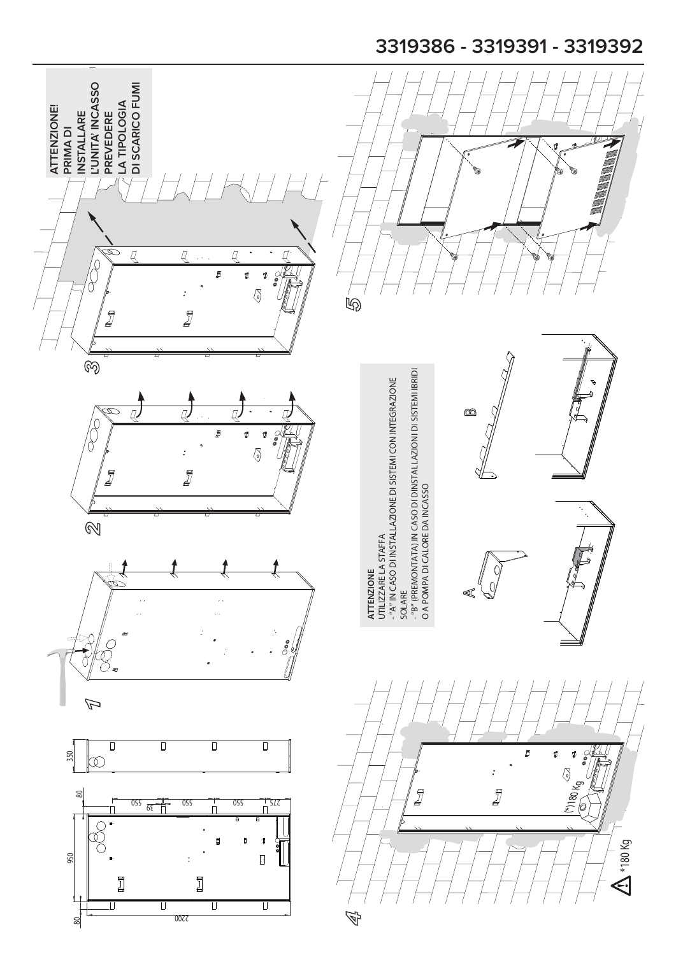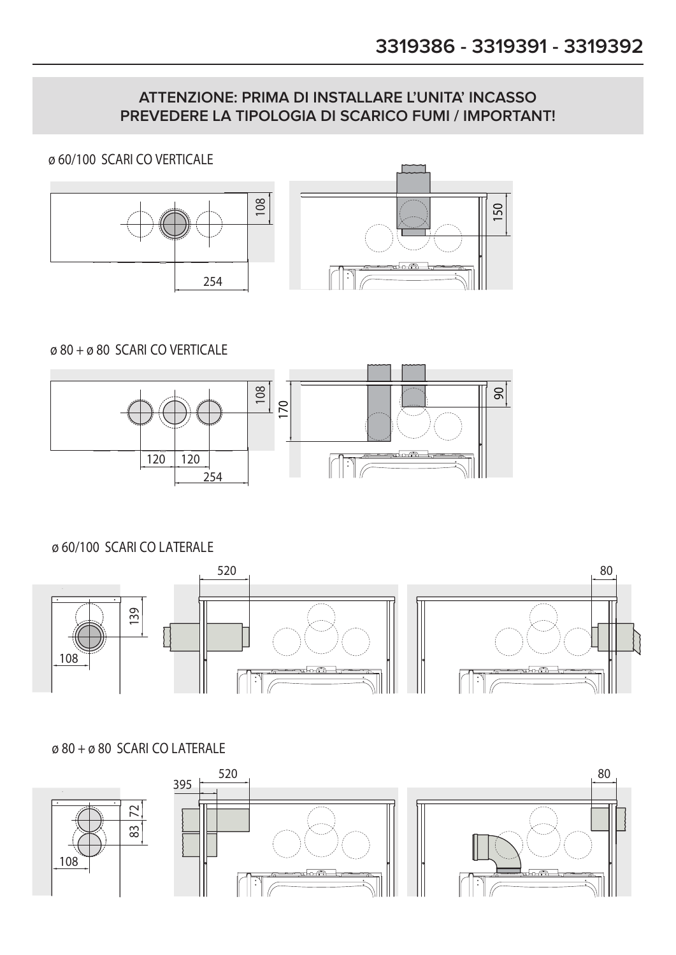### **ATTENZIONE: PRIMA DI INSTALLARE L'UNITA' INCASSO PREVEDERE LA TIPOLOGIA DI SCARICO FUMI / IMPORTANT!**

ø 60/100 SCARI CO VERTICALE





ø 80 + ø 80 SCARI CO VERTICALE



ø 60/100 SCARI CO LATERALE



ø 80 + ø 80 SCARI CO LATERALE

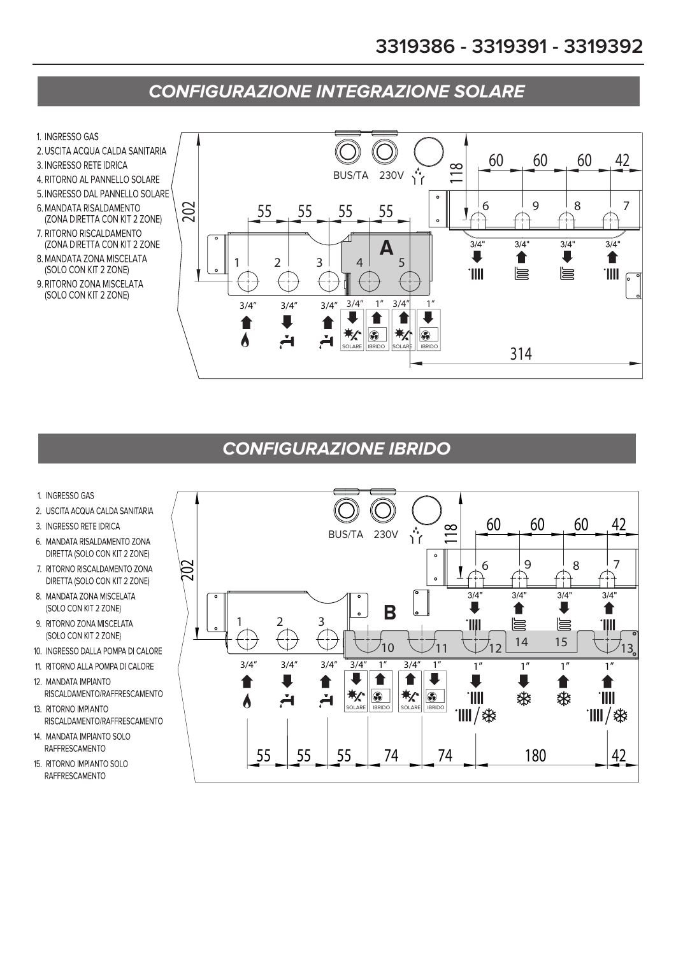# **CONFIGURAZIONE INTEGRAZIONE SOLARE**

- 1. INGRESSO GAS
- 2. USCITA ACQUA CALDA SANITARIA
- 3. INGRESSO RETE IDRICA
- 4. RITORNO AL PANNELLO SOLARE
- 5. INGRESSO DAL PANNELLO SOLARE
- 6 MANDATA RISALDAMENTO (ZONA DIRETTA CON KIT 2 ZONE)
- 7. RITORNO RISCALDAMENTO (ZONA DIRETTA CON KIT 2 ZONE
- 8. MANDATA ZONA MISCELATA (SOLO CON KIT 2 ZONE)
- 9. RITORNO ZONA MISCELATA (SOLO CON KIT 2 ZONE)



## **CONFIGURAZIONE IBRIDO**

- 1. INGRESSO GAS
- 2. USCITA ACQUA CALDA SANITARIA
- 3. INGRESSO RETE IDRICA
- 6. MANDATA RISALDAMENTO ZONA DIRETTA (SOLO CON KIT 2 ZONE)
- 7. RITORNO RISCALDAMENTO ZONA DIRETTA (SOLO CON KIT 2 ZONE)
- 8. MANDATA ZONA MISCELATA (SOLO CON KIT 2 ZONE)
- 9. RITORNO ZONA MISCELATA (SOLO CON KIT 2 ZONE)
- 10. INGRESSO DALLA POMPA DI CALORE
- 11. RITORNO ALLA POMPA DI CALORE
- 12. MANDATA IMPIANTO RISCALDAMENTO/RAFFRESCAMENTO
- 13. RITORNO IMPIANTO RISCALDAMENTO/RAFFRESCAMENTO
- 14. MANDATA IMPIANTO SOLO RAFFRESCAMENTO
- 15. RITORNO IMPIANTO SOLO RAFFRESCAMENTO